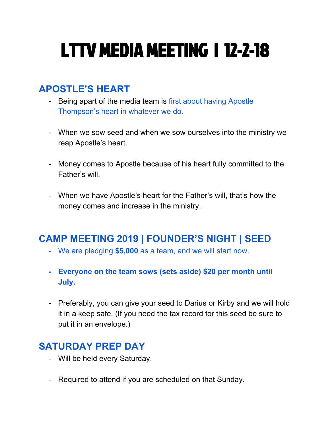# LTTV MEDIA MEETING | 12-2-18

## **APOSTLE'S HEART**

- Being apart of the media team is first about having Apostle Thompson's heart in whatever we do.
- When we sow seed and when we sow ourselves into the ministry we reap Apostle's heart.
- Money comes to Apostle because of his heart fully committed to the Father's will.
- When we have Apostle's heart for the Father's will, that's how the money comes and increase in the ministry.

## **CAMP MEETING 2019 | FOUNDER'S NIGHT | SEED**

- We are pledging **\$5,000** as a team, and we will start now.
- **- Everyone on the team sows (sets aside) \$20 per month until July.**
- Preferably, you can give your seed to Darius or Kirby and we will hold it in a keep safe. (If you need the tax record for this seed be sure to put it in an envelope.)

### **SATURDAY PREP DAY**

- Will be held every Saturday.
- Required to attend if you are scheduled on that Sunday.